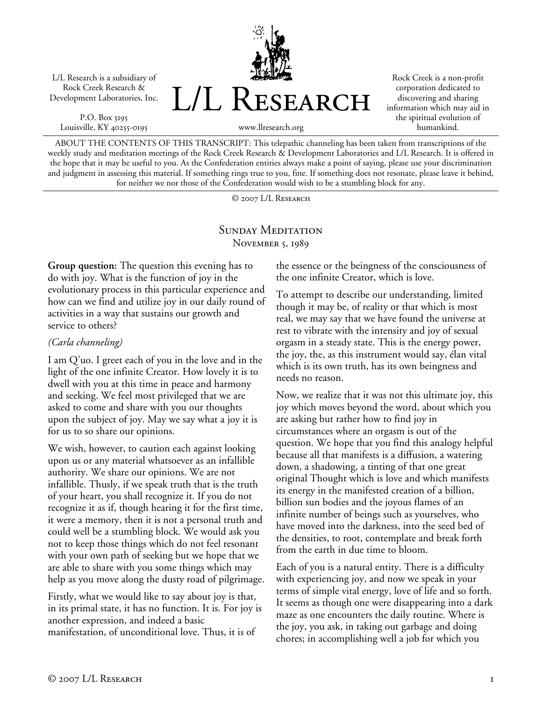L/L Research is a subsidiary of Rock Creek Research & Development Laboratories, Inc.

P.O. Box 5195 Louisville, KY 40255-0195



Rock Creek is a non-profit corporation dedicated to discovering and sharing information which may aid in the spiritual evolution of humankind.

www.llresearch.org

ABOUT THE CONTENTS OF THIS TRANSCRIPT: This telepathic channeling has been taken from transcriptions of the weekly study and meditation meetings of the Rock Creek Research & Development Laboratories and L/L Research. It is offered in the hope that it may be useful to you. As the Confederation entities always make a point of saying, please use your discrimination and judgment in assessing this material. If something rings true to you, fine. If something does not resonate, please leave it behind, for neither we nor those of the Confederation would wish to be a stumbling block for any.

© 2007 L/L Research

## SUNDAY MEDITATION November 5, 1989

**Group question:** The question this evening has to do with joy. What is the function of joy in the evolutionary process in this particular experience and how can we find and utilize joy in our daily round of activities in a way that sustains our growth and service to others?

## *(Carla channeling)*

I am Q'uo. I greet each of you in the love and in the light of the one infinite Creator. How lovely it is to dwell with you at this time in peace and harmony and seeking. We feel most privileged that we are asked to come and share with you our thoughts upon the subject of joy. May we say what a joy it is for us to so share our opinions.

We wish, however, to caution each against looking upon us or any material whatsoever as an infallible authority. We share our opinions. We are not infallible. Thusly, if we speak truth that is the truth of your heart, you shall recognize it. If you do not recognize it as if, though hearing it for the first time, it were a memory, then it is not a personal truth and could well be a stumbling block. We would ask you not to keep those things which do not feel resonant with your own path of seeking but we hope that we are able to share with you some things which may help as you move along the dusty road of pilgrimage.

Firstly, what we would like to say about joy is that, in its primal state, it has no function. It is. For joy is another expression, and indeed a basic manifestation, of unconditional love. Thus, it is of

the essence or the beingness of the consciousness of the one infinite Creator, which is love.

To attempt to describe our understanding, limited though it may be, of reality or that which is most real, we may say that we have found the universe at rest to vibrate with the intensity and joy of sexual orgasm in a steady state. This is the energy power, the joy, the, as this instrument would say, élan vital which is its own truth, has its own beingness and needs no reason.

Now, we realize that it was not this ultimate joy, this joy which moves beyond the word, about which you are asking but rather how to find joy in circumstances where an orgasm is out of the question. We hope that you find this analogy helpful because all that manifests is a diffusion, a watering down, a shadowing, a tinting of that one great original Thought which is love and which manifests its energy in the manifested creation of a billion, billion sun bodies and the joyous flames of an infinite number of beings such as yourselves, who have moved into the darkness, into the seed bed of the densities, to root, contemplate and break forth from the earth in due time to bloom.

Each of you is a natural entity. There is a difficulty with experiencing joy, and now we speak in your terms of simple vital energy, love of life and so forth. It seems as though one were disappearing into a dark maze as one encounters the daily routine. Where is the joy, you ask, in taking out garbage and doing chores; in accomplishing well a job for which you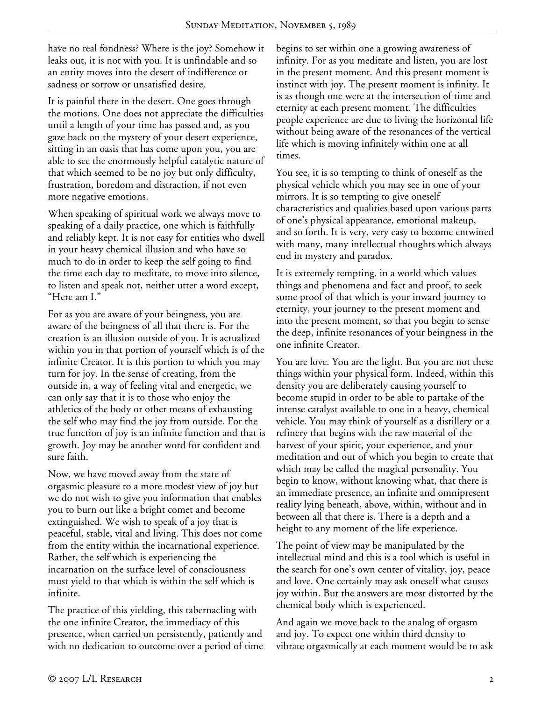have no real fondness? Where is the joy? Somehow it leaks out, it is not with you. It is unfindable and so an entity moves into the desert of indifference or sadness or sorrow or unsatisfied desire.

It is painful there in the desert. One goes through the motions. One does not appreciate the difficulties until a length of your time has passed and, as you gaze back on the mystery of your desert experience, sitting in an oasis that has come upon you, you are able to see the enormously helpful catalytic nature of that which seemed to be no joy but only difficulty, frustration, boredom and distraction, if not even more negative emotions.

When speaking of spiritual work we always move to speaking of a daily practice, one which is faithfully and reliably kept. It is not easy for entities who dwell in your heavy chemical illusion and who have so much to do in order to keep the self going to find the time each day to meditate, to move into silence, to listen and speak not, neither utter a word except, "Here am I."

For as you are aware of your beingness, you are aware of the beingness of all that there is. For the creation is an illusion outside of you. It is actualized within you in that portion of yourself which is of the infinite Creator. It is this portion to which you may turn for joy. In the sense of creating, from the outside in, a way of feeling vital and energetic, we can only say that it is to those who enjoy the athletics of the body or other means of exhausting the self who may find the joy from outside. For the true function of joy is an infinite function and that is growth. Joy may be another word for confident and sure faith.

Now, we have moved away from the state of orgasmic pleasure to a more modest view of joy but we do not wish to give you information that enables you to burn out like a bright comet and become extinguished. We wish to speak of a joy that is peaceful, stable, vital and living. This does not come from the entity within the incarnational experience. Rather, the self which is experiencing the incarnation on the surface level of consciousness must yield to that which is within the self which is infinite.

The practice of this yielding, this tabernacling with the one infinite Creator, the immediacy of this presence, when carried on persistently, patiently and with no dedication to outcome over a period of time begins to set within one a growing awareness of infinity. For as you meditate and listen, you are lost in the present moment. And this present moment is instinct with joy. The present moment is infinity. It is as though one were at the intersection of time and eternity at each present moment. The difficulties people experience are due to living the horizontal life without being aware of the resonances of the vertical life which is moving infinitely within one at all times.

You see, it is so tempting to think of oneself as the physical vehicle which you may see in one of your mirrors. It is so tempting to give oneself characteristics and qualities based upon various parts of one's physical appearance, emotional makeup, and so forth. It is very, very easy to become entwined with many, many intellectual thoughts which always end in mystery and paradox.

It is extremely tempting, in a world which values things and phenomena and fact and proof, to seek some proof of that which is your inward journey to eternity, your journey to the present moment and into the present moment, so that you begin to sense the deep, infinite resonances of your beingness in the one infinite Creator.

You are love. You are the light. But you are not these things within your physical form. Indeed, within this density you are deliberately causing yourself to become stupid in order to be able to partake of the intense catalyst available to one in a heavy, chemical vehicle. You may think of yourself as a distillery or a refinery that begins with the raw material of the harvest of your spirit, your experience, and your meditation and out of which you begin to create that which may be called the magical personality. You begin to know, without knowing what, that there is an immediate presence, an infinite and omnipresent reality lying beneath, above, within, without and in between all that there is. There is a depth and a height to any moment of the life experience.

The point of view may be manipulated by the intellectual mind and this is a tool which is useful in the search for one's own center of vitality, joy, peace and love. One certainly may ask oneself what causes joy within. But the answers are most distorted by the chemical body which is experienced.

And again we move back to the analog of orgasm and joy. To expect one within third density to vibrate orgasmically at each moment would be to ask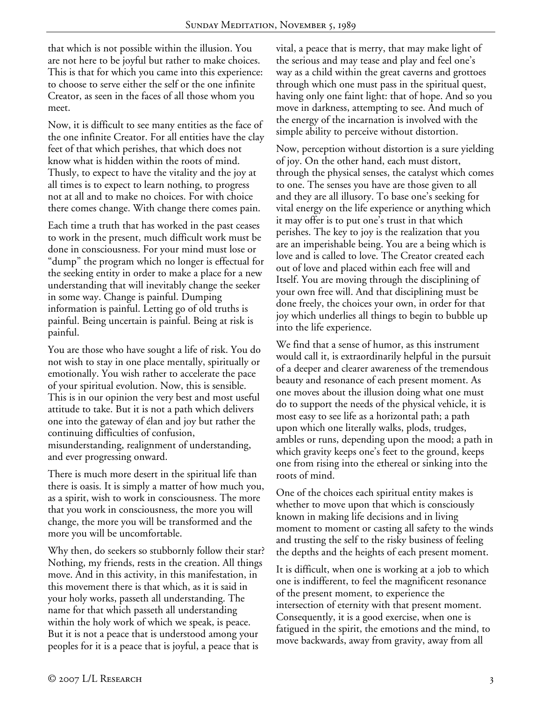that which is not possible within the illusion. You are not here to be joyful but rather to make choices. This is that for which you came into this experience: to choose to serve either the self or the one infinite Creator, as seen in the faces of all those whom you meet.

Now, it is difficult to see many entities as the face of the one infinite Creator. For all entities have the clay feet of that which perishes, that which does not know what is hidden within the roots of mind. Thusly, to expect to have the vitality and the joy at all times is to expect to learn nothing, to progress not at all and to make no choices. For with choice there comes change. With change there comes pain.

Each time a truth that has worked in the past ceases to work in the present, much difficult work must be done in consciousness. For your mind must lose or "dump" the program which no longer is effectual for the seeking entity in order to make a place for a new understanding that will inevitably change the seeker in some way. Change is painful. Dumping information is painful. Letting go of old truths is painful. Being uncertain is painful. Being at risk is painful.

You are those who have sought a life of risk. You do not wish to stay in one place mentally, spiritually or emotionally. You wish rather to accelerate the pace of your spiritual evolution. Now, this is sensible. This is in our opinion the very best and most useful attitude to take. But it is not a path which delivers one into the gateway of élan and joy but rather the continuing difficulties of confusion, misunderstanding, realignment of understanding, and ever progressing onward.

There is much more desert in the spiritual life than there is oasis. It is simply a matter of how much you, as a spirit, wish to work in consciousness. The more that you work in consciousness, the more you will change, the more you will be transformed and the more you will be uncomfortable.

Why then, do seekers so stubbornly follow their star? Nothing, my friends, rests in the creation. All things move. And in this activity, in this manifestation, in this movement there is that which, as it is said in your holy works, passeth all understanding. The name for that which passeth all understanding within the holy work of which we speak, is peace. But it is not a peace that is understood among your peoples for it is a peace that is joyful, a peace that is

vital, a peace that is merry, that may make light of the serious and may tease and play and feel one's way as a child within the great caverns and grottoes through which one must pass in the spiritual quest, having only one faint light: that of hope. And so you move in darkness, attempting to see. And much of the energy of the incarnation is involved with the simple ability to perceive without distortion.

Now, perception without distortion is a sure yielding of joy. On the other hand, each must distort, through the physical senses, the catalyst which comes to one. The senses you have are those given to all and they are all illusory. To base one's seeking for vital energy on the life experience or anything which it may offer is to put one's trust in that which perishes. The key to joy is the realization that you are an imperishable being. You are a being which is love and is called to love. The Creator created each out of love and placed within each free will and Itself. You are moving through the disciplining of your own free will. And that disciplining must be done freely, the choices your own, in order for that joy which underlies all things to begin to bubble up into the life experience.

We find that a sense of humor, as this instrument would call it, is extraordinarily helpful in the pursuit of a deeper and clearer awareness of the tremendous beauty and resonance of each present moment. As one moves about the illusion doing what one must do to support the needs of the physical vehicle, it is most easy to see life as a horizontal path; a path upon which one literally walks, plods, trudges, ambles or runs, depending upon the mood; a path in which gravity keeps one's feet to the ground, keeps one from rising into the ethereal or sinking into the roots of mind.

One of the choices each spiritual entity makes is whether to move upon that which is consciously known in making life decisions and in living moment to moment or casting all safety to the winds and trusting the self to the risky business of feeling the depths and the heights of each present moment.

It is difficult, when one is working at a job to which one is indifferent, to feel the magnificent resonance of the present moment, to experience the intersection of eternity with that present moment. Consequently, it is a good exercise, when one is fatigued in the spirit, the emotions and the mind, to move backwards, away from gravity, away from all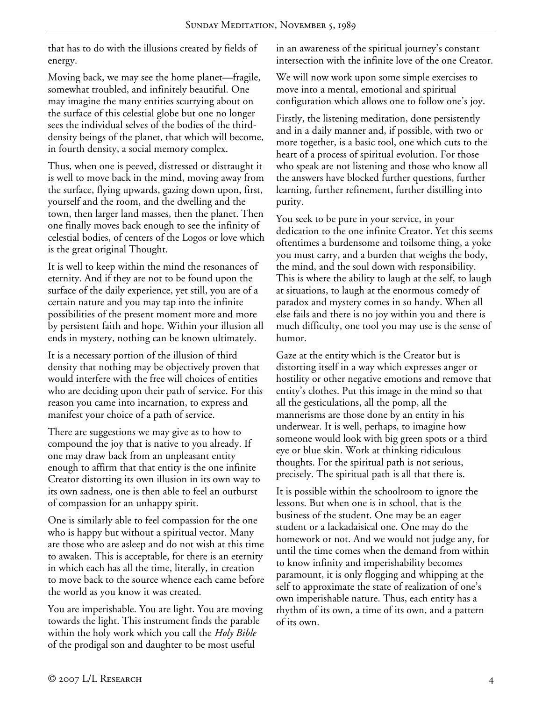that has to do with the illusions created by fields of energy.

Moving back, we may see the home planet—fragile, somewhat troubled, and infinitely beautiful. One may imagine the many entities scurrying about on the surface of this celestial globe but one no longer sees the individual selves of the bodies of the thirddensity beings of the planet, that which will become, in fourth density, a social memory complex.

Thus, when one is peeved, distressed or distraught it is well to move back in the mind, moving away from the surface, flying upwards, gazing down upon, first, yourself and the room, and the dwelling and the town, then larger land masses, then the planet. Then one finally moves back enough to see the infinity of celestial bodies, of centers of the Logos or love which is the great original Thought.

It is well to keep within the mind the resonances of eternity. And if they are not to be found upon the surface of the daily experience, yet still, you are of a certain nature and you may tap into the infinite possibilities of the present moment more and more by persistent faith and hope. Within your illusion all ends in mystery, nothing can be known ultimately.

It is a necessary portion of the illusion of third density that nothing may be objectively proven that would interfere with the free will choices of entities who are deciding upon their path of service. For this reason you came into incarnation, to express and manifest your choice of a path of service.

There are suggestions we may give as to how to compound the joy that is native to you already. If one may draw back from an unpleasant entity enough to affirm that that entity is the one infinite Creator distorting its own illusion in its own way to its own sadness, one is then able to feel an outburst of compassion for an unhappy spirit.

One is similarly able to feel compassion for the one who is happy but without a spiritual vector. Many are those who are asleep and do not wish at this time to awaken. This is acceptable, for there is an eternity in which each has all the time, literally, in creation to move back to the source whence each came before the world as you know it was created.

You are imperishable. You are light. You are moving towards the light. This instrument finds the parable within the holy work which you call the *Holy Bible* of the prodigal son and daughter to be most useful

in an awareness of the spiritual journey's constant intersection with the infinite love of the one Creator.

We will now work upon some simple exercises to move into a mental, emotional and spiritual configuration which allows one to follow one's joy.

Firstly, the listening meditation, done persistently and in a daily manner and, if possible, with two or more together, is a basic tool, one which cuts to the heart of a process of spiritual evolution. For those who speak are not listening and those who know all the answers have blocked further questions, further learning, further refinement, further distilling into purity.

You seek to be pure in your service, in your dedication to the one infinite Creator. Yet this seems oftentimes a burdensome and toilsome thing, a yoke you must carry, and a burden that weighs the body, the mind, and the soul down with responsibility. This is where the ability to laugh at the self, to laugh at situations, to laugh at the enormous comedy of paradox and mystery comes in so handy. When all else fails and there is no joy within you and there is much difficulty, one tool you may use is the sense of humor.

Gaze at the entity which is the Creator but is distorting itself in a way which expresses anger or hostility or other negative emotions and remove that entity's clothes. Put this image in the mind so that all the gesticulations, all the pomp, all the mannerisms are those done by an entity in his underwear. It is well, perhaps, to imagine how someone would look with big green spots or a third eye or blue skin. Work at thinking ridiculous thoughts. For the spiritual path is not serious, precisely. The spiritual path is all that there is.

It is possible within the schoolroom to ignore the lessons. But when one is in school, that is the business of the student. One may be an eager student or a lackadaisical one. One may do the homework or not. And we would not judge any, for until the time comes when the demand from within to know infinity and imperishability becomes paramount, it is only flogging and whipping at the self to approximate the state of realization of one's own imperishable nature. Thus, each entity has a rhythm of its own, a time of its own, and a pattern of its own.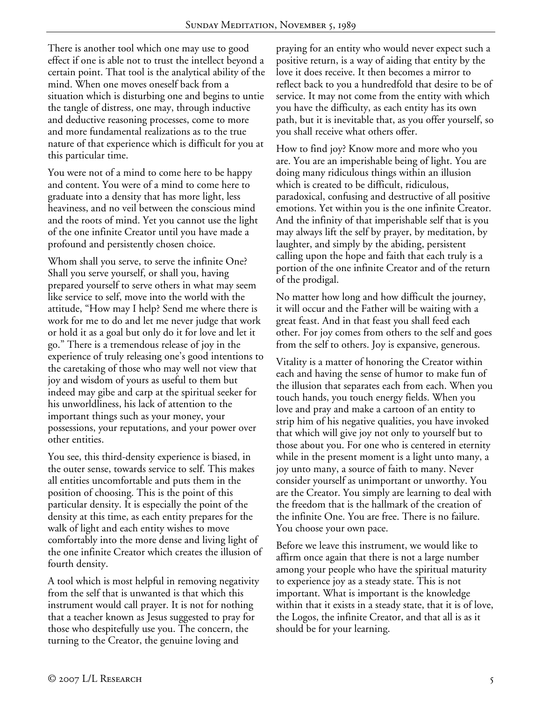There is another tool which one may use to good effect if one is able not to trust the intellect beyond a certain point. That tool is the analytical ability of the mind. When one moves oneself back from a situation which is disturbing one and begins to untie the tangle of distress, one may, through inductive and deductive reasoning processes, come to more and more fundamental realizations as to the true nature of that experience which is difficult for you at this particular time.

You were not of a mind to come here to be happy and content. You were of a mind to come here to graduate into a density that has more light, less heaviness, and no veil between the conscious mind and the roots of mind. Yet you cannot use the light of the one infinite Creator until you have made a profound and persistently chosen choice.

Whom shall you serve, to serve the infinite One? Shall you serve yourself, or shall you, having prepared yourself to serve others in what may seem like service to self, move into the world with the attitude, "How may I help? Send me where there is work for me to do and let me never judge that work or hold it as a goal but only do it for love and let it go." There is a tremendous release of joy in the experience of truly releasing one's good intentions to the caretaking of those who may well not view that joy and wisdom of yours as useful to them but indeed may gibe and carp at the spiritual seeker for his unworldliness, his lack of attention to the important things such as your money, your possessions, your reputations, and your power over other entities.

You see, this third-density experience is biased, in the outer sense, towards service to self. This makes all entities uncomfortable and puts them in the position of choosing. This is the point of this particular density. It is especially the point of the density at this time, as each entity prepares for the walk of light and each entity wishes to move comfortably into the more dense and living light of the one infinite Creator which creates the illusion of fourth density.

A tool which is most helpful in removing negativity from the self that is unwanted is that which this instrument would call prayer. It is not for nothing that a teacher known as Jesus suggested to pray for those who despitefully use you. The concern, the turning to the Creator, the genuine loving and

praying for an entity who would never expect such a positive return, is a way of aiding that entity by the love it does receive. It then becomes a mirror to reflect back to you a hundredfold that desire to be of service. It may not come from the entity with which you have the difficulty, as each entity has its own path, but it is inevitable that, as you offer yourself, so you shall receive what others offer.

How to find joy? Know more and more who you are. You are an imperishable being of light. You are doing many ridiculous things within an illusion which is created to be difficult, ridiculous, paradoxical, confusing and destructive of all positive emotions. Yet within you is the one infinite Creator. And the infinity of that imperishable self that is you may always lift the self by prayer, by meditation, by laughter, and simply by the abiding, persistent calling upon the hope and faith that each truly is a portion of the one infinite Creator and of the return of the prodigal.

No matter how long and how difficult the journey, it will occur and the Father will be waiting with a great feast. And in that feast you shall feed each other. For joy comes from others to the self and goes from the self to others. Joy is expansive, generous.

Vitality is a matter of honoring the Creator within each and having the sense of humor to make fun of the illusion that separates each from each. When you touch hands, you touch energy fields. When you love and pray and make a cartoon of an entity to strip him of his negative qualities, you have invoked that which will give joy not only to yourself but to those about you. For one who is centered in eternity while in the present moment is a light unto many, a joy unto many, a source of faith to many. Never consider yourself as unimportant or unworthy. You are the Creator. You simply are learning to deal with the freedom that is the hallmark of the creation of the infinite One. You are free. There is no failure. You choose your own pace.

Before we leave this instrument, we would like to affirm once again that there is not a large number among your people who have the spiritual maturity to experience joy as a steady state. This is not important. What is important is the knowledge within that it exists in a steady state, that it is of love, the Logos, the infinite Creator, and that all is as it should be for your learning.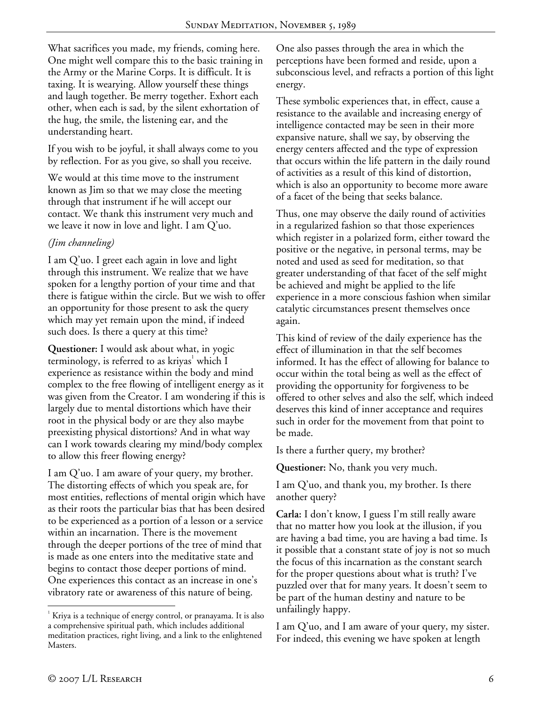What sacrifices you made, my friends, coming here. One might well compare this to the basic training in the Army or the Marine Corps. It is difficult. It is taxing. It is wearying. Allow yourself these things and laugh together. Be merry together. Exhort each other, when each is sad, by the silent exhortation of the hug, the smile, the listening ear, and the understanding heart.

If you wish to be joyful, it shall always come to you by reflection. For as you give, so shall you receive.

We would at this time move to the instrument known as Jim so that we may close the meeting through that instrument if he will accept our contact. We thank this instrument very much and we leave it now in love and light. I am Q'uo.

## *(Jim channeling)*

I am Q'uo. I greet each again in love and light through this instrument. We realize that we have spoken for a lengthy portion of your time and that there is fatigue within the circle. But we wish to offer an opportunity for those present to ask the query which may yet remain upon the mind, if indeed such does. Is there a query at this time?

**Questioner:** I would ask about what, in yogic terminology, is referred to as kriyas<sup>1</sup> which I experience as resistance within the body and mind complex to the free flowing of intelligent energy as it was given from the Creator. I am wondering if this is largely due to mental distortions which have their root in the physical body or are they also maybe preexisting physical distortions? And in what way can I work towards clearing my mind/body complex to allow this freer flowing energy?

I am Q'uo. I am aware of your query, my brother. The distorting effects of which you speak are, for most entities, reflections of mental origin which have as their roots the particular bias that has been desired to be experienced as a portion of a lesson or a service within an incarnation. There is the movement through the deeper portions of the tree of mind that is made as one enters into the meditative state and begins to contact those deeper portions of mind. One experiences this contact as an increase in one's vibratory rate or awareness of this nature of being.

One also passes through the area in which the perceptions have been formed and reside, upon a subconscious level, and refracts a portion of this light energy.

These symbolic experiences that, in effect, cause a resistance to the available and increasing energy of intelligence contacted may be seen in their more expansive nature, shall we say, by observing the energy centers affected and the type of expression that occurs within the life pattern in the daily round of activities as a result of this kind of distortion, which is also an opportunity to become more aware of a facet of the being that seeks balance.

Thus, one may observe the daily round of activities in a regularized fashion so that those experiences which register in a polarized form, either toward the positive or the negative, in personal terms, may be noted and used as seed for meditation, so that greater understanding of that facet of the self might be achieved and might be applied to the life experience in a more conscious fashion when similar catalytic circumstances present themselves once again.

This kind of review of the daily experience has the effect of illumination in that the self becomes informed. It has the effect of allowing for balance to occur within the total being as well as the effect of providing the opportunity for forgiveness to be offered to other selves and also the self, which indeed deserves this kind of inner acceptance and requires such in order for the movement from that point to be made.

Is there a further query, my brother?

**Questioner:** No, thank you very much.

I am Q'uo, and thank you, my brother. Is there another query?

**Carla:** I don't know, I guess I'm still really aware that no matter how you look at the illusion, if you are having a bad time, you are having a bad time. Is it possible that a constant state of joy is not so much the focus of this incarnation as the constant search for the proper questions about what is truth? I've puzzled over that for many years. It doesn't seem to be part of the human destiny and nature to be unfailingly happy.

I am Q'uo, and I am aware of your query, my sister. For indeed, this evening we have spoken at length

 $\overline{a}$ 

 $1$  Kriya is a technique of energy control, or pranayama. It is also a comprehensive spiritual path, which includes additional meditation practices, right living, and a link to the enlightened Masters.